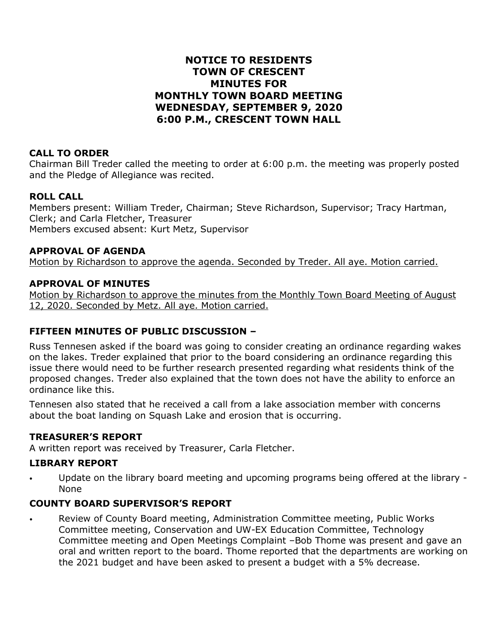# **NOTICE TO RESIDENTS TOWN OF CRESCENT MINUTES FOR MONTHLY TOWN BOARD MEETING WEDNESDAY, SEPTEMBER 9, 2020 6:00 P.M., CRESCENT TOWN HALL**

#### **CALL TO ORDER**

Chairman Bill Treder called the meeting to order at 6:00 p.m. the meeting was properly posted and the Pledge of Allegiance was recited.

### **ROLL CALL**

Members present: William Treder, Chairman; Steve Richardson, Supervisor; Tracy Hartman, Clerk; and Carla Fletcher, Treasurer Members excused absent: Kurt Metz, Supervisor

#### **APPROVAL OF AGENDA**

Motion by Richardson to approve the agenda. Seconded by Treder. All aye. Motion carried.

#### **APPROVAL OF MINUTES**

Motion by Richardson to approve the minutes from the Monthly Town Board Meeting of August 12, 2020. Seconded by Metz. All aye. Motion carried.

### **FIFTEEN MINUTES OF PUBLIC DISCUSSION –**

Russ Tennesen asked if the board was going to consider creating an ordinance regarding wakes on the lakes. Treder explained that prior to the board considering an ordinance regarding this issue there would need to be further research presented regarding what residents think of the proposed changes. Treder also explained that the town does not have the ability to enforce an ordinance like this.

Tennesen also stated that he received a call from a lake association member with concerns about the boat landing on Squash Lake and erosion that is occurring.

#### **TREASURER'S REPORT**

A written report was received by Treasurer, Carla Fletcher.

#### **LIBRARY REPORT**

• Update on the library board meeting and upcoming programs being offered at the library - None

### **COUNTY BOARD SUPERVISOR'S REPORT**

• Review of County Board meeting, Administration Committee meeting, Public Works Committee meeting, Conservation and UW-EX Education Committee, Technology Committee meeting and Open Meetings Complaint –Bob Thome was present and gave an oral and written report to the board. Thome reported that the departments are working on the 2021 budget and have been asked to present a budget with a 5% decrease.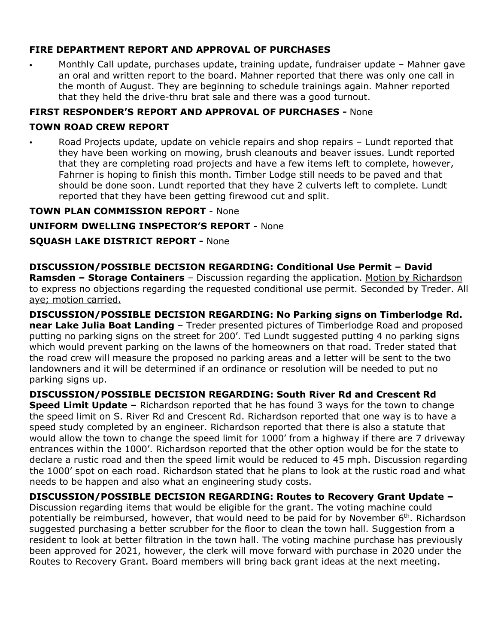# **FIRE DEPARTMENT REPORT AND APPROVAL OF PURCHASES**

• Monthly Call update, purchases update, training update, fundraiser update – Mahner gave an oral and written report to the board. Mahner reported that there was only one call in the month of August. They are beginning to schedule trainings again. Mahner reported that they held the drive-thru brat sale and there was a good turnout.

## **FIRST RESPONDER'S REPORT AND APPROVAL OF PURCHASES -** None

### **TOWN ROAD CREW REPORT**

• Road Projects update, update on vehicle repairs and shop repairs – Lundt reported that they have been working on mowing, brush cleanouts and beaver issues. Lundt reported that they are completing road projects and have a few items left to complete, however, Fahrner is hoping to finish this month. Timber Lodge still needs to be paved and that should be done soon. Lundt reported that they have 2 culverts left to complete. Lundt reported that they have been getting firewood cut and split.

# **TOWN PLAN COMMISSION REPORT** - None

## **UNIFORM DWELLING INSPECTOR'S REPORT** - None

## **SQUASH LAKE DISTRICT REPORT -** None

**DISCUSSION/POSSIBLE DECISION REGARDING: Conditional Use Permit – David Ramsden – Storage Containers** – Discussion regarding the application. Motion by Richardson to express no objections regarding the requested conditional use permit. Seconded by Treder. All aye; motion carried.

**DISCUSSION/POSSIBLE DECISION REGARDING: No Parking signs on Timberlodge Rd. near Lake Julia Boat Landing** – Treder presented pictures of Timberlodge Road and proposed putting no parking signs on the street for 200'. Ted Lundt suggested putting 4 no parking signs which would prevent parking on the lawns of the homeowners on that road. Treder stated that the road crew will measure the proposed no parking areas and a letter will be sent to the two landowners and it will be determined if an ordinance or resolution will be needed to put no parking signs up.

**DISCUSSION/POSSIBLE DECISION REGARDING: South River Rd and Crescent Rd Speed Limit Update –** Richardson reported that he has found 3 ways for the town to change the speed limit on S. River Rd and Crescent Rd. Richardson reported that one way is to have a speed study completed by an engineer. Richardson reported that there is also a statute that would allow the town to change the speed limit for 1000' from a highway if there are 7 driveway entrances within the 1000'. Richardson reported that the other option would be for the state to declare a rustic road and then the speed limit would be reduced to 45 mph. Discussion regarding the 1000' spot on each road. Richardson stated that he plans to look at the rustic road and what needs to be happen and also what an engineering study costs.

**DISCUSSION/POSSIBLE DECISION REGARDING: Routes to Recovery Grant Update –** Discussion regarding items that would be eligible for the grant. The voting machine could potentially be reimbursed, however, that would need to be paid for by November  $6<sup>th</sup>$ . Richardson suggested purchasing a better scrubber for the floor to clean the town hall. Suggestion from a resident to look at better filtration in the town hall. The voting machine purchase has previously been approved for 2021, however, the clerk will move forward with purchase in 2020 under the Routes to Recovery Grant. Board members will bring back grant ideas at the next meeting.